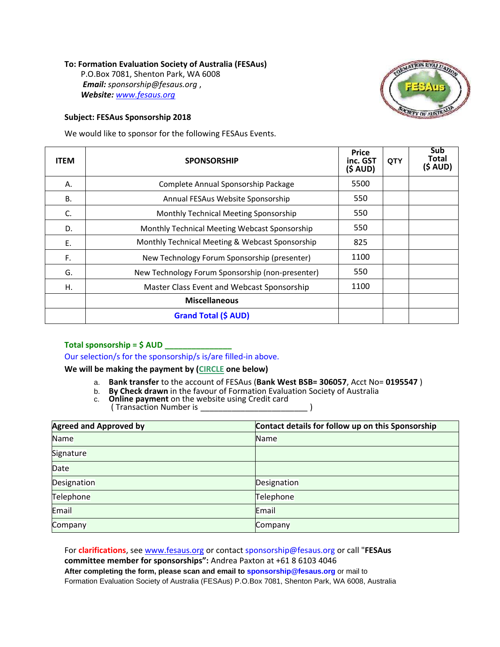## **To: Formation Evaluation Society of Australia (FESAus)**

P.O.Box 7081, Shenton Park, WA 6008 *Email: [sponsorship@fesaus.org](mailto:sponsorship@fesaus.org)* , *Website: [www.fesaus.org](http://www.fesaus.org/)*

## **Subject: FESAus Sponsorship 2018**

**ON EVAL** 

We would like to sponsor for the following FESAus Events.

| <b>ITEM</b> | <b>SPONSORSHIP</b>                               | <b>Price</b><br>inc. GST<br>(S AUD) | <b>QTY</b> | Sub<br>Total<br>$(5$ AUD) |
|-------------|--------------------------------------------------|-------------------------------------|------------|---------------------------|
| А.          | Complete Annual Sponsorship Package              | 5500                                |            |                           |
| В.          | Annual FESAus Website Sponsorship                | 550                                 |            |                           |
| C.          | Monthly Technical Meeting Sponsorship            | 550                                 |            |                           |
| D.          | Monthly Technical Meeting Webcast Sponsorship    | 550                                 |            |                           |
| Ε.          | Monthly Technical Meeting & Webcast Sponsorship  | 825                                 |            |                           |
| F.          | New Technology Forum Sponsorship (presenter)     | 1100                                |            |                           |
| G.          | New Technology Forum Sponsorship (non-presenter) | 550                                 |            |                           |
| Η.          | Master Class Event and Webcast Sponsorship       | 1100                                |            |                           |
|             | <b>Miscellaneous</b>                             |                                     |            |                           |
|             | <b>Grand Total (\$ AUD)</b>                      |                                     |            |                           |

## **Total sponsorship = \$ AUD \_\_\_\_\_\_\_\_\_\_\_\_\_\_\_**

Our selection/s for the sponsorship/s is/are filled-in above.

**We will be making the payment by (CIRCLE one below)**

- a. **Bank transfer** to the account of FESAus (**Bank West BSB= 306057**, Acct No= **0195547** )
- b. **By Check drawn** in the favour of Formation Evaluation Society of Australia
- c. **Online payment** on the website using Credit card (Transaction Number is )

| <b>Agreed and Approved by</b> | Contact details for follow up on this Sponsorship |  |  |
|-------------------------------|---------------------------------------------------|--|--|
| Name                          | Name                                              |  |  |
| Signature                     |                                                   |  |  |
| Date                          |                                                   |  |  |
| Designation                   | Designation                                       |  |  |
| Telephone                     | Telephone                                         |  |  |
| Email                         | Email                                             |  |  |
| Company                       | Company                                           |  |  |

For **clarifications**, see [www.fesaus.org](http://www.fesaus.org/) or contac[t sponsorship@fesaus.org o](mailto:sponsorship@fesaus.org)r call "**FESAus committee member for sponsorships":** Andrea Paxton at +61 8 6103 4046 **After completing the form, please scan and email to [sponsorship@fesaus.org](mailto:sponsorship@fesaus.org)** or mail to Formation Evaluation Society of Australia (FESAus) P.O.Box 7081, Shenton Park, WA 6008, Australia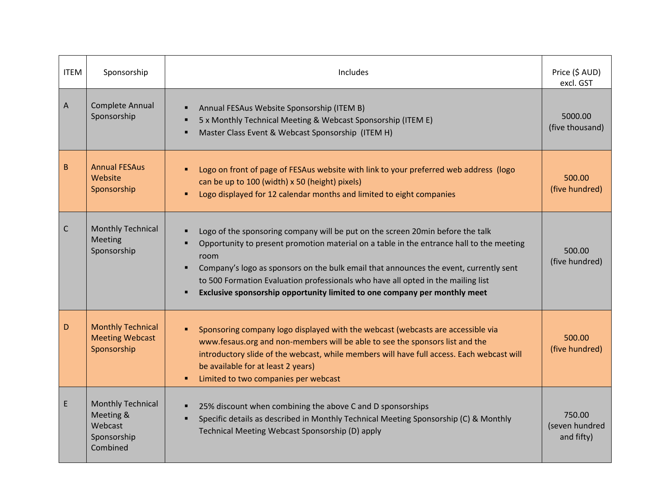| <b>ITEM</b> | Sponsorship                                                                 | Includes                                                                                                                                                                                                                                                                                                                                                                                                                                          | Price (\$ AUD)<br>excl. GST            |
|-------------|-----------------------------------------------------------------------------|---------------------------------------------------------------------------------------------------------------------------------------------------------------------------------------------------------------------------------------------------------------------------------------------------------------------------------------------------------------------------------------------------------------------------------------------------|----------------------------------------|
| A           | Complete Annual<br>Sponsorship                                              | Annual FESAus Website Sponsorship (ITEM B)<br>5 x Monthly Technical Meeting & Webcast Sponsorship (ITEM E)<br>Master Class Event & Webcast Sponsorship (ITEM H)                                                                                                                                                                                                                                                                                   | 5000.00<br>(five thousand)             |
| B           | <b>Annual FESAus</b><br>Website<br>Sponsorship                              | Logo on front of page of FESAus website with link to your preferred web address (logo<br>can be up to 100 (width) x 50 (height) pixels)<br>Logo displayed for 12 calendar months and limited to eight companies<br>٠                                                                                                                                                                                                                              | 500.00<br>(five hundred)               |
| C           | <b>Monthly Technical</b><br>Meeting<br>Sponsorship                          | Logo of the sponsoring company will be put on the screen 20min before the talk<br>٠<br>Opportunity to present promotion material on a table in the entrance hall to the meeting<br>room<br>Company's logo as sponsors on the bulk email that announces the event, currently sent<br>to 500 Formation Evaluation professionals who have all opted in the mailing list<br>Exclusive sponsorship opportunity limited to one company per monthly meet | 500.00<br>(five hundred)               |
| D           | <b>Monthly Technical</b><br><b>Meeting Webcast</b><br>Sponsorship           | Sponsoring company logo displayed with the webcast (webcasts are accessible via<br>٠<br>www.fesaus.org and non-members will be able to see the sponsors list and the<br>introductory slide of the webcast, while members will have full access. Each webcast will<br>be available for at least 2 years)<br>Limited to two companies per webcast<br>$\blacksquare$                                                                                 | 500.00<br>(five hundred)               |
| E           | <b>Monthly Technical</b><br>Meeting &<br>Webcast<br>Sponsorship<br>Combined | 25% discount when combining the above C and D sponsorships<br>٠<br>Specific details as described in Monthly Technical Meeting Sponsorship (C) & Monthly<br>Technical Meeting Webcast Sponsorship (D) apply                                                                                                                                                                                                                                        | 750.00<br>(seven hundred<br>and fifty) |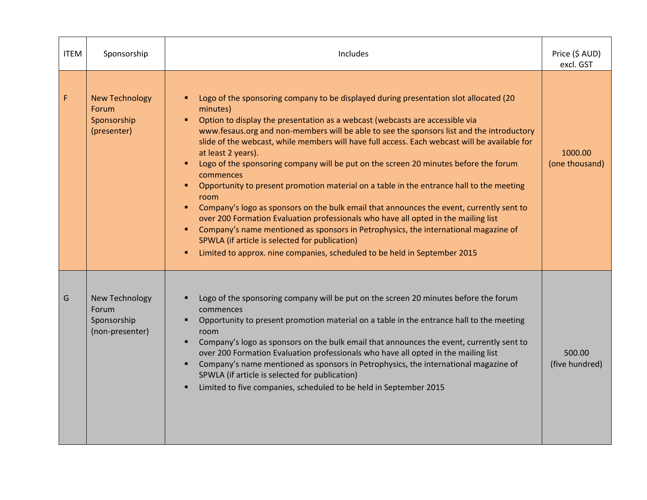| <b>ITEM</b> | Sponsorship                                                      | Includes                                                                                                                                                                                                                                                                                                                                                                                                                                                                                                                                                                                                                                                                                                                                                                                                                                                                                                                                                                                                                                                                                                                                 | Price (\$ AUD)<br>excl. GST |
|-------------|------------------------------------------------------------------|------------------------------------------------------------------------------------------------------------------------------------------------------------------------------------------------------------------------------------------------------------------------------------------------------------------------------------------------------------------------------------------------------------------------------------------------------------------------------------------------------------------------------------------------------------------------------------------------------------------------------------------------------------------------------------------------------------------------------------------------------------------------------------------------------------------------------------------------------------------------------------------------------------------------------------------------------------------------------------------------------------------------------------------------------------------------------------------------------------------------------------------|-----------------------------|
| F           | <b>New Technology</b><br>Forum<br>Sponsorship<br>(presenter)     | Logo of the sponsoring company to be displayed during presentation slot allocated (20<br>$\blacksquare$<br>minutes)<br>Option to display the presentation as a webcast (webcasts are accessible via<br>п.<br>www.fesaus.org and non-members will be able to see the sponsors list and the introductory<br>slide of the webcast, while members will have full access. Each webcast will be available for<br>at least 2 years).<br>Logo of the sponsoring company will be put on the screen 20 minutes before the forum<br>$\blacksquare$<br>commences<br>Opportunity to present promotion material on a table in the entrance hall to the meeting<br>$\blacksquare$<br>room<br>Company's logo as sponsors on the bulk email that announces the event, currently sent to<br>$\blacksquare$<br>over 200 Formation Evaluation professionals who have all opted in the mailing list<br>Company's name mentioned as sponsors in Petrophysics, the international magazine of<br>$\blacksquare$<br>SPWLA (if article is selected for publication)<br>Limited to approx. nine companies, scheduled to be held in September 2015<br>$\blacksquare$ | 1000.00<br>(one thousand)   |
| G           | New Technology<br><b>Forum</b><br>Sponsorship<br>(non-presenter) | Logo of the sponsoring company will be put on the screen 20 minutes before the forum<br>commences<br>Opportunity to present promotion material on a table in the entrance hall to the meeting<br>room<br>Company's logo as sponsors on the bulk email that announces the event, currently sent to<br>over 200 Formation Evaluation professionals who have all opted in the mailing list<br>Company's name mentioned as sponsors in Petrophysics, the international magazine of<br>SPWLA (if article is selected for publication)<br>Limited to five companies, scheduled to be held in September 2015<br>٠                                                                                                                                                                                                                                                                                                                                                                                                                                                                                                                               | 500.00<br>(five hundred)    |